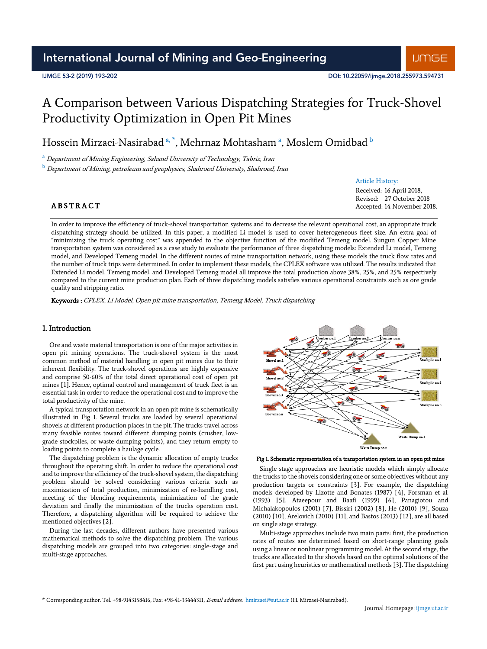# International Journal of Mining and Geo-Engineering

# A Comparison between Various Dispatching Strategies for Truck-Shovel Productivity Optimization in Open Pit Mines

## Hossein Mirzaei-Nasirabad <sup>a, \*</sup>, Mehrnaz Mohtasham ª, Moslem Omidbad <sup>b</sup>

<sup>a</sup> Department of Mining Engineering, Sahand University of Technology, Tabriz, Iran

 $^{\rm b}$  Department of Mining, petroleum and geophysics, Shahrood University, Shahrood, Iran

Article History:

Received: 16 April 2018, Revised: 27 October 2018 Accepted: 14 November 2018.

## **ABSTRACT**

In order to improve the efficiency of truck-shovel transportation systems and to decrease the relevant operational cost, an appropriate truck dispatching strategy should be utilized. In this paper, a modified Li model is used to cover heterogeneous fleet size. An extra goal of "minimizing the truck operating cost" was appended to the objective function of the modified Temeng model. Sungun Copper Mine transportation system was considered as a case study to evaluate the performance of three dispatching models: Extended Li model, Temeng model, and Developed Temeng model. In the different routes of mine transportation network, using these models the truck flow rates and the number of truck trips were determined. In order to implement these models, the CPLEX software was utilized. The results indicated that Extended Li model, Temeng model, and Developed Temeng model all improve the total production above 38%, 25%, and 25% respectively compared to the current mine production plan. Each of three dispatching models satisfies various operational constraints such as ore grade quality and stripping ratio.

Keywords : CPLEX, Li Model, Open pit mine transportation, Temeng Model, Truck dispatching

## 1. Introduction

Ore and waste material transportation is one of the major activities in open pit mining operations. The truck-shovel system is the most common method of material handling in open pit mines due to their inherent flexibility. The truck-shovel operations are highly expensive and comprise 50-60% of the total direct operational cost of open pit mines [1]. Hence, optimal control and management of truck fleet is an essential task in order to reduce the operational cost and to improve the total productivity of the mine.

A typical transportation network in an open pit mine is schematically illustrated in Fig 1. Several trucks are loaded by several operational shovels at different production places in the pit. The trucks travel across many feasible routes toward different dumping points (crusher, lowgrade stockpiles, or waste dumping points), and they return empty to loading points to complete a haulage cycle.

The dispatching problem is the dynamic allocation of empty trucks throughout the operating shift. In order to reduce the operational cost and to improve the efficiency of the truck-shovel system, the dispatching problem should be solved considering various criteria such as maximization of total production, minimization of re-handling cost, meeting of the blending requirements, minimization of the grade deviation and finally the minimization of the trucks operation cost. Therefore, a dispatching algorithm will be required to achieve the mentioned objectives [2].

During the last decades, different authors have presented various mathematical methods to solve the dispatching problem. The various dispatching models are grouped into two categories: single-stage and multi-stage approaches.



Fig 1. Schematic representation of a transportation system in an open pit mine

Single stage approaches are heuristic models which simply allocate the trucks to the shovels considering one or some objectives without any production targets or constraints [3]. For example, the dispatching models developed by Lizotte and Bonates (1987) [4], Forsman et al. (1993) [5], Ataeepour and Baafi (1999) [6], Panagiotou and Michalakopoulos (2001) [7], Bissiri (2002) [8], He (2010) [9], Souza (2010) [10], Arelovich (2010) [11], and Bastos (2013) [12], are all based on single stage strategy.

Multi-stage approaches include two main parts: first, the production rates of routes are determined based on short-range planning goals using a linear or nonlinear programming model. At the second stage, the trucks are allocated to the shovels based on the optimal solutions of the first part using heuristics or mathematical methods [3]. The dispatching

<sup>\*</sup> Corresponding author. Tel. +98-9143158416, Fax: +98-41-33444311, E-mail address: hmirzaei@sut.ac.ir (H. Mirzaei-Nasirabad).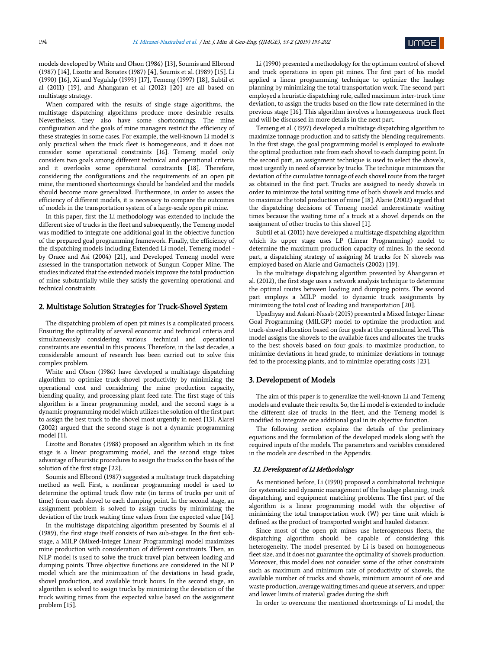models developed by White and Olson (1986) [13], Soumis and Elbrond (1987) [14], Lizotte and Bonates (1987) [4], Soumis et al. (1989) [15]. Li (1990) [16], Xi and Yegulalp (1993) [17], Temeng (1997) [18], Subtil et al (2011) [19], and Ahangaran et al (2012) [20] are all based on multistage strategy.

When compared with the results of single stage algorithms, the multistage dispatching algorithms produce more desirable results. Nevertheless, they also have some shortcomings. The mine configuration and the goals of mine managers restrict the efficiency of these strategies in some cases. For example, the well-known Li model is only practical when the truck fleet is homogeneous, and it does not consider some operational constraints [16]. Temeng model only considers two goals among different technical and operational criteria and it overlooks some operational constraints [18]. Therefore, considering the configurations and the requirements of an open pit mine, the mentioned shortcomings should be handeled and the models should become more generalized. Furthermore, in order to assess the efficiency of different models, it is necessary to compare the outcomes of models in the transportation system of a large-scale open pit mine.

In this paper, first the Li methodology was extended to include the different size of trucks in the fleet and subsequently, the Temeng model was modified to integrate one additional goal in the objective function of the prepared goal programming framework. Finally, the efficiency of the dispatching models including Extended Li model, Temeng model by Oraee and Asi (2004) [21], and Developed Temeng model were assessed in the transportation network of Sungun Copper Mine. The studies indicated that the extended models improve the total production of mine substantially while they satisfy the governing operational and technical constraints.

#### 2. Multistage Solution Strategies for Truck-Shovel System

The dispatching problem of open pit mines is a complicated process. Ensuring the optimality of several economic and technical criteria and simultaneously considering various technical and operational constraints are essential in this process. Therefore, in the last decades, a considerable amount of research has been carried out to solve this complex problem.

White and Olson (1986) have developed a multistage dispatching algorithm to optimize truck-shovel productivity by minimizing the operational cost and considering the mine production capacity, blending quality, and processing plant feed rate. The first stage of this algorithm is a linear programming model, and the second stage is a dynamic programming model which utilizes the solution of the first part to assign the best truck to the shovel most urgently in need [13]. Alarei (2002) argued that the second stage is not a dynamic programming model [1].

Lizotte and Bonates (1988) proposed an algorithm which in its first stage is a linear programming model, and the second stage takes advantage of heuristic procedures to assign the trucks on the basis of the solution of the first stage [22].

Soumis and Elbrond (1987) suggested a multistage truck dispatching method as well. First, a nonlinear programming model is used to determine the optimal truck flow rate (in terms of trucks per unit of time) from each shovel to each dumping point. In the second stage, an assignment problem is solved to assign trucks by minimizing the deviation of the truck waiting time values from the expected value [14].

In the multistage dispatching algorithm presented by Soumis el al (1989), the first stage itself consists of two sub-stages. In the first substage, a MILP (Mixed-Integer Linear Programming) model maximizes mine production with consideration of different constraints. Then, an NLP model is used to solve the truck travel plan between loading and dumping points. Three objective functions are considered in the NLP model which are the minimization of the deviations in head grade, shovel production, and available truck hours. In the second stage, an algorithm is solved to assign trucks by minimizing the deviation of the truck waiting times from the expected value based on the assignment problem [15].

Li (1990) presented a methodology for the optimum control of shovel and truck operations in open pit mines. The first part of his model applied a linear programming technique to optimize the haulage planning by minimizing the total transportation work. The second part employed a heuristic dispatching rule, called maximum inter-truck time deviation, to assign the trucks based on the flow rate determined in the previous stage [16]. This algorithm involves a homogeneous truck fleet and will be discussed in more details in the next part.

Temeng et al. (1997) developed a multistage dispatching algorithm to maximize tonnage production and to satisfy the blending requirements. In the first stage, the goal programming model is employed to evaluate the optimal production rate from each shovel to each dumping point. In the second part, an assignment technique is used to select the shovels, most urgently in need of service by trucks. The technique minimizes the deviation of the cumulative tonnage of each shovel route from the target as obtained in the first part. Trucks are assigned to needy shovels in order to minimize the total waiting time of both shovels and trucks and to maximize the total production of mine [18]. Alarie (2002) argued that the dispatching decisions of Temeng model underestimate waiting times because the waiting time of a truck at a shovel depends on the assignment of other trucks to this shovel [1].

Subtil et al. (2011) have developed a multistage dispatching algorithm which its upper stage uses LP (Linear Programming) model to determine the maximum production capacity of mines. In the second part, a dispatching strategy of assigning M trucks for N shovels was employed based on Alarie and Gamacheis (2002) [19].

In the multistage dispatching algorithm presented by Ahangaran et al. (2012), the first stage uses a network analysis technique to determine the optimal routes between loading and dumping points. The second part employs a MILP model to dynamic truck assignments by minimizing the total cost of loading and transportation [20].

Upadhyay and Askari-Nasab (2015) presented a Mixed Integer Linear Goal Programming (MILGP) model to optimize the production and truck-shovel allocation based on four goals at the operational level. This model assigns the shovels to the available faces and allocates the trucks to the best shovels based on four goals: to maximize production, to minimize deviations in head grade, to minimize deviations in tonnage fed to the processing plants, and to minimize operating costs [23].

#### 3. Development of Models

The aim of this paper is to generalize the well-known Li and Temeng models and evaluate their results. So, the Li model is extended to include the different size of trucks in the fleet, and the Temeng model is modified to integrate one additional goal in its objective function.

The following section explains the details of the preliminary equations and the formulation of the developed models along with the required inputs of the models. The parameters and variables considered in the models are described in the Appendix.

## 3.1. Development of Li Methodology

As mentioned before, Li (1990) proposed a combinatorial technique for systematic and dynamic management of the haulage planning, truck dispatching, and equipment matching problems. The first part of the algorithm is a linear programming model with the objective of minimizing the total transportation work (W) per time unit which is defined as the product of transported weight and hauled distance.

Since most of the open pit mines use heterogeneous fleets, the dispatching algorithm should be capable of considering this heterogeneity. The model presented by Li is based on homogeneous fleet size, and it does not guarantee the optimality of shovels production. Moreover, this model does not consider some of the other constraints such as maximum and minimum rate of productivity of shovels, the available number of trucks and shovels, minimum amount of ore and waste production, average waiting times and queue at servers, and upper and lower limits of material grades during the shift.

In order to overcome the mentioned shortcomings of Li model, the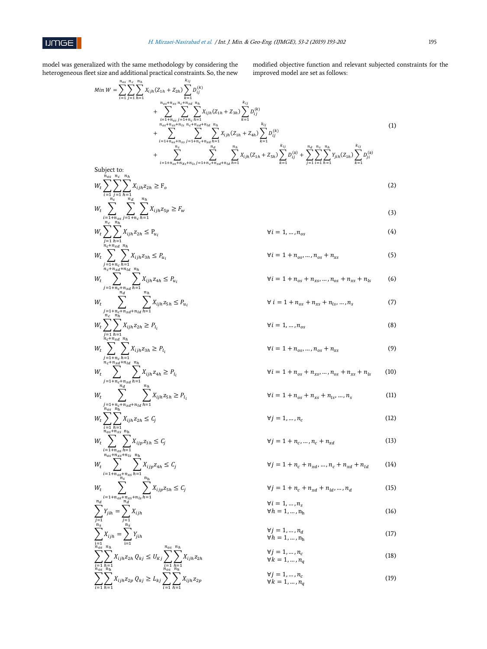model was generalized with the same methodology by considering the heterogeneous fleet size and additional practical constraints. So, the new

modified objective function and relevant subjected constraints for the improved model are set as follows:

$$
Min_{W} = \sum_{i=1}^{\sum_{i=1}^{n} \sum_{j=1}^{n} \sum_{k=1}^{n} X_{ij_{1}} Z_{i_{1}} + Z_{i_{2}} \sum_{i=1}^{n} D_{ij}^{(k)}
$$
\n
$$
+ \sum_{i=1}^{\sum_{i=1}^{n} \sum_{k=1}^{n} X_{ij_{1}} Z_{i_{1}} + Z_{i_{2}} \sum_{i=1}^{n} \sum_{k=1}^{n} Y_{ij_{1}} Z_{i_{2}} - X_{ij_{2}} \sum_{i=1}^{n} \sum_{k=1}^{n} Y_{ij_{2}} Z_{i_{1}} - Z_{i_{2}} \sum_{i=1}^{n} Y_{ij_{1}} Z_{i_{2}} + Z_{i_{2}} \sum_{i=1}^{n} \sum_{k=1}^{n} Y_{ij_{1}} Z_{i_{2}} + Z_{i_{2}} \sum_{i=1}^{n} \sum_{k=1}^{n} Y_{ij_{1}} Z_{i_{1}} + Z_{i_{2}} \sum_{i=1}^{n} \sum_{k=1}^{n} Y_{ij_{1}} Z_{i_{2}} - Z_{i_{1}} \sum_{i=1}^{n} Y_{ij_{1}} Z_{i_{2}} + Z_{i_{2}} \sum_{i=1}^{n} \sum_{k=1}^{n} Y_{ij_{1}} Z_{i_{2}} - Z_{i_{2}} \sum_{i=1}^{n} \sum_{k=1}^{n} X_{ij_{1}} Z_{i_{2}} - Z_{i_{2}} \sum_{i=1}^{n} \sum_{k=1}^{n} X_{ij_{1}} Z_{i_{2}} - Z_{i_{2}} \sum_{i=1}^{n} \sum_{k=1}^{n} X_{ij_{1}} Z_{i_{2}} - Z_{i_{2}} \sum_{i=1}^{n} \sum_{k=1}^{n} X_{ij_{1}} Z_{i_{2}} - Z_{i_{2}} \sum_{i=1}^{n} \sum_{k=1}^{n} Y_{ij_{1}} Z_{i_{2}} - Z_{i_{2}} \sum_{i=1}^{n} \sum_{k=1}^{n} Y_{ij_{1}} Z_{i_{2}} - Z_{i_{2}} \sum_{i=1}^{n} \sum_{k=1}^{n} Y_{i_{1}} Z_{i_{2}} - Z_{i_{2}} \sum_{i=1}^{n} Y_{i_{1}} Z_{i_{2}} - Z_{i_{2}} \sum_{i=1}^{n} Y_{i_{1}} - Z_{i_{2}} \sum_{i=
$$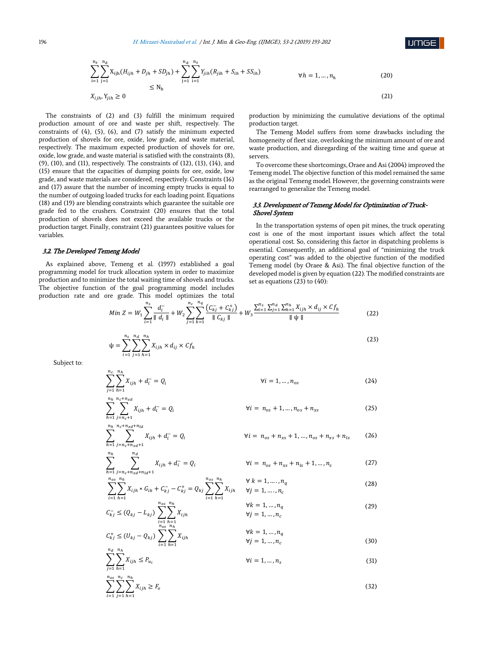

$$
\sum_{i=1}^{n_s} \sum_{j=1}^{n_d} X_{ijh} (H_{ijh} + D_{jh} + SD_{jh}) + \sum_{j=1}^{n_d} \sum_{i=1}^{n_s} Y_{jih} (R_{jih} + S_{ih} + SS_{ih})
$$
\n
$$
\leq N_h
$$
\n
$$
X_{ijh}, Y_{jih} \geq 0
$$
\n(21)

The constraints of (2) and (3) fulfill the minimum required production amount of ore and waste per shift, respectively. The constraints of (4), (5), (6), and (7) satisfy the minimum expected production of shovels for ore, oxide, low grade, and waste material, respectively. The maximum expected production of shovels for ore, oxide, low grade, and waste material is satisfied with the constraints (8), (9), (10), and (11), respectively. The constraints of (12), (13), (14), and (15) ensure that the capacities of dumping points for ore, oxide, low grade, and waste materials are considered, respectively. Constraints (16) and (17) assure that the number of incoming empty trucks is equal to the number of outgoing loaded trucks for each loading point. Equations (18) and (19) are blending constraints which guarantee the suitable ore grade fed to the crushers. Constraint (20) ensures that the total production of shovels does not exceed the available trucks or the production target. Finally, constraint (21) guarantees positive values for variables.

#### 3.2. The Developed Temeng Model

As explained above, Temeng et al. (1997) established a goal programming model for truck allocation system in order to maximize production and to minimize the total waiting time of shovels and trucks. The objective function of the goal programming model includes production rate and ore grade. This model optimizes the total

production by minimizing the cumulative deviations of the optimal production target.

The Temeng Model suffers from some drawbacks including the homogeneity of fleet size, overlooking the minimum amount of ore and waste production, and disregarding of the waiting time and queue at servers.

To overcome these shortcomings, Oraee and Asi (2004) improved the Temeng model. The objective function of this model remained the same as the original Temeng model. However, the governing constraints were rearranged to generalize the Temeng model.

#### 3.3. Development of Temeng Model for Optimization of Truck-Shovel System

In the transportation systems of open pit mines, the truck operating cost is one of the most important issues which affect the total operational cost. So, considering this factor in dispatching problems is essential. Consequently, an additional goal of "minimizing the truck operating cost" was added to the objective function of the modified Temeng model (by Oraee & Asi). The final objective function of the developed model is given by equation (22). The modified constraints are set as equations (23) to (40):

$$
Min Z = W_1 \sum_{i=1}^{n_s} \frac{d_i^-}{\|d_i\|} + W_2 \sum_{j=1}^{n_c} \sum_{k=1}^{n_q} \frac{(C_{kj}^- + C_{kj}^+)}{\|C_{kj}\|} + W_3 \frac{\sum_{i=1}^{n_s} \sum_{j=1}^{n_d} \sum_{h=1}^{n_h} X_{ijh} \times d_{ij} \times C f_h}{\| \psi \|}
$$
(22)

$$
\psi = \sum_{i=1}^{n_s} \sum_{j=1}^{n_d} \sum_{h=1}^{n_h} X_{ijh} \times d_{ij} \times C f_h
$$
\n(23)

Subject to:

$$
\sum_{j=1}^{n_c} \sum_{h=1}^{n_h} X_{ijh} + d_i^- = Q_i
$$
 (24)

$$
\sum_{h=1}^{n_h} \sum_{j=n_c+1}^{n_c+n_{xd}} X_{ijh} + d_i^- = Q_i \qquad \forall i = n_{os} + 1, ..., n_{os} + n_{xs} \qquad (25)
$$

$$
\sum_{h=1}^{n_h} \sum_{\substack{j=n_c+n_{xd}+1\\n_b}}^{n_c+n_{xd}+n_{ld}} X_{ijh} + d_i^- = Q_i
$$
\n
$$
\forall i = n_{os} + n_{xs} + 1, ..., n_{os} + n_{xs} + n_{ls}
$$
\n(26)

$$
\sum_{h=1}^{N} \sum_{j=n_c+n_{xd}+n_{ld}+1}^{N} X_{ijh} + d_i^- = Q_i \qquad \forall i = n_{os} + n_{xs} + n_{ls} + 1, ..., n_s \qquad (27)
$$

$$
\sum_{i=1}^{n_{os}} \sum_{h=1}^{n_h} X_{ijh} * G_{ik} + C_{kj}^- - C_{kj}^+ = Q_{kj} \sum_{i=1}^{n_{os}} \sum_{h=1}^{n_h} X_{ijh} \qquad \forall i = 1, ..., n_c
$$
\n(28)\n
$$
C_{kj}^- \leq (Q_{kj} - L_{kj}) \sum_{j} \sum_{j}^{n_{os}} X_{ijh} \qquad \forall j = 1, ..., n_c
$$
\n(29)

$$
C_{kj}^{+} \leq (U_{kj} - Q_{kj}) \sum_{i=1}^{i=1} \sum_{h=1}^{n_{os}} X_{ijh}
$$
\n
$$
N = 1, ..., n_q
$$
\n
$$
\forall k = 1, ..., n_q
$$
\n
$$
\forall j = 1, ..., n_c
$$
\n(30)

$$
\sum_{j=1}^{n_d} \sum_{h=1}^{n_h} X_{ijh} \le P_{u_i} \qquad \qquad \forall i = 1, ..., n_s \qquad (31)
$$

$$
\sum_{i=1}^{n_{os}} \sum_{j=1}^{n_c} \sum_{h=1}^{n_h} X_{ijh} \ge F_o \tag{32}
$$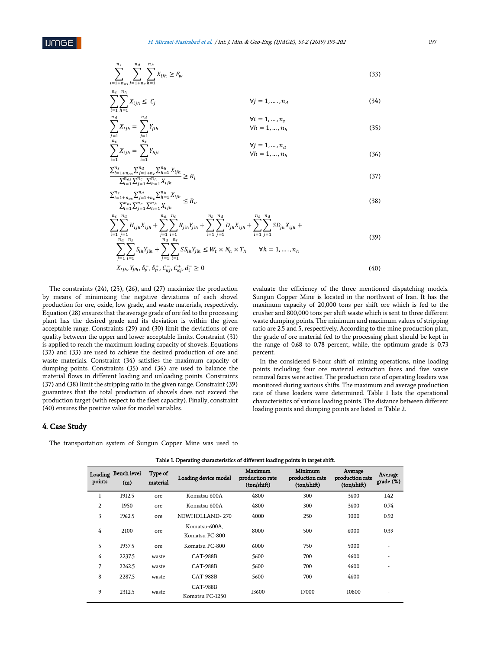$$
\sum_{i=1+n_{os}}^{n_s} \sum_{j=1+n_c}^{n_d} \sum_{h=1}^{n_h} X_{ijh} \ge F_w \tag{33}
$$

$$
\sum_{i=1}^{n_s} \sum_{h=1}^{n_h} X_{ijh} \le C_j \qquad \forall j = 1, ..., n_d \qquad (34)
$$

$$
\sum_{j=1}^{n_d} X_{ijh} = \sum_{j=1}^{n_d} Y_{jih} \qquad \forall i = 1, ..., n_s
$$
\n
$$
\forall h = 1, ..., n_h
$$
\n(35)

$$
\sum_{i=1}^{n_s} X_{ijh} = \sum_{i=1}^{n_s} Y_{hji}
$$
\n
$$
\forall j = 1, ..., n_d
$$
\n
$$
\forall h = 1, ..., n_h
$$
\n(36)

$$
\frac{\sum_{i=1+n_{OS}}^{n_S} \sum_{j=1+n_c}^{n_d} \sum_{h=1}^{n_h} X_{ijh}}{\sum_{i=1}^{n_{CS}} \sum_{j=1}^{n_{Ts}} \sum_{h=1}^{n_h} X_{ijh}} \ge R_l
$$
\n(37)

$$
\frac{\sum_{i=1+n_{os}}^{n_s} \sum_{j=1+n_c}^{n_d} \sum_{h=1}^{n_h} X_{ijh}}{\sum_{i=1}^{n_{os}} \sum_{j=1}^{n_{cs}} \sum_{h=1}^{n_h} X_{ijh}} \le R_u
$$
\n(38)

$$
\sum_{i=1}^{n_s} \sum_{\substack{j=1 \ n_d\\ n_d\\ n_s}}^{n_d} H_{ijh} X_{ijh} + \sum_{j=1}^{n_d} \sum_{\substack{i=1 \ n_d\\ n_s}}^{n_s} R_{jih} Y_{jih} + \sum_{i=1}^{n_s} \sum_{j=1}^{n_d} D_{jh} X_{ijh} + \sum_{i=1}^{n_s} \sum_{j=1}^{n_d} SD_{jh} X_{ijh} + \tag{39}
$$

$$
\sum_{j=1}^{n} \sum_{i=1}^{n} S_{ih} Y_{jih} + \sum_{j=1}^{n} \sum_{i=1}^{n} S S_{ih} Y_{jih} \le W_t \times N_h \times T_h \qquad \forall h = 1, \dots, n_h
$$
  

$$
X_{ijh}, Y_{jih}, \delta_p^-, \delta_p^+, C_{kj}, C_{kj}^+, d_i^- \ge 0
$$
 (40)

The constraints (24), (25), (26), and (27) maximize the production by means of minimizing the negative deviations of each shovel production for ore, oxide, low grade, and waste materials, respectively. Equation (28) ensures that the average grade of ore fed to the processing plant has the desired grade and its deviation is within the given acceptable range. Constraints (29) and (30) limit the deviations of ore quality between the upper and lower acceptable limits. Constraint (31) is applied to reach the maximum loading capacity of shovels. Equations (32) and (33) are used to achieve the desired production of ore and waste materials. Constraint (34) satisfies the maximum capacity of dumping points. Constraints (35) and (36) are used to balance the material flows in different loading and unloading points. Constraints (37) and (38) limit the stripping ratio in the given range. Constraint (39) guarantees that the total production of shovels does not exceed the production target (with respect to the fleet capacity). Finally, constraint (40) ensures the positive value for model variables.

 $n_{S}$ 

 $i=1$ 

evaluate the efficiency of the three mentioned dispatching models. Sungun Copper Mine is located in the northwest of Iran. It has the maximum capacity of 20,000 tons per shift ore which is fed to the crusher and 800,000 tons per shift waste which is sent to three different waste dumping points. The minimum and maximum values of stripping ratio are 2.5 and 5, respectively. According to the mine production plan, the grade of ore material fed to the processing plant should be kept in the range of 0.68 to 0.78 percent, while, the optimum grade is 0.73 percent.

In the considered 8-hour shift of mining operations, nine loading points including four ore material extraction faces and five waste removal faces were active. The production rate of operating loaders was monitored during various shifts. The maximum and average production rate of these loaders were determined. Table 1 lists the operational characteristics of various loading points. The distance between different loading points and dumping points are listed in Table 2.

## 4. Case Study

The transportation system of Sungun Copper Mine was used to

|        | Table 1. Operating characteristics of different loading points in target shift. |                     |                                    |                                           |                                           |                                           |                          |  |  |  |
|--------|---------------------------------------------------------------------------------|---------------------|------------------------------------|-------------------------------------------|-------------------------------------------|-------------------------------------------|--------------------------|--|--|--|
| points | Loading Bench level<br>(m)                                                      | Type of<br>material | Loading device model               | Maximum<br>production rate<br>(ton/shift) | Minimum<br>production rate<br>(ton/shift) | Average<br>production rate<br>(ton/shift) | Average<br>$grade$ $(*)$ |  |  |  |
| 1      | 1912.5                                                                          | ore                 | Komatsu-600A                       | 4800                                      | 300                                       | 3600                                      | 1.42                     |  |  |  |
| 2      | 1950                                                                            | ore                 | Komatsu-600A                       | 4800                                      | 300                                       | 3600                                      | 0.74                     |  |  |  |
| 3      | 1962.5                                                                          | ore                 | NEWHOLLAND-270                     | 4000                                      | 250                                       | 3000                                      | 0.92                     |  |  |  |
| 4      | 2100                                                                            | ore                 | Komatsu-600A,<br>Komatsu PC-800    | 8000                                      | 500                                       | 6000                                      | 0.39                     |  |  |  |
| 5      | 1937.5                                                                          | ore                 | Komatsu PC-800                     | 6000                                      | 750                                       | 5000                                      | ٠                        |  |  |  |
| 6      | 2237.5                                                                          | waste               | <b>CAT-988B</b>                    | 5600                                      | 700                                       | 4600                                      | ٠                        |  |  |  |
| 7      | 2262.5                                                                          | waste               | CAT-988B                           | 5600                                      | 700                                       | 4600                                      | ٠                        |  |  |  |
| 8      | 2287.5                                                                          | waste               | <b>CAT-988B</b>                    | 5600                                      | 700                                       | 4600                                      | ٠                        |  |  |  |
| 9      | 2312.5                                                                          | waste               | <b>CAT-988B</b><br>Komatsu PC-1250 | 13600                                     | 17000                                     | 10800                                     | ٠                        |  |  |  |
|        |                                                                                 |                     |                                    |                                           |                                           |                                           |                          |  |  |  |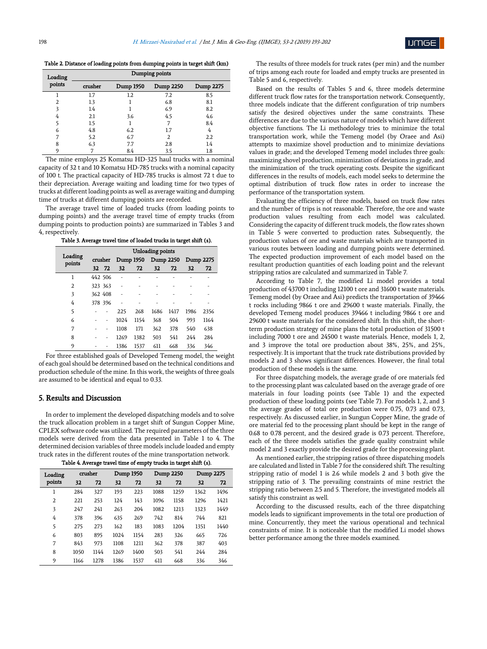

Table 2. Distance of loading points from dumping points in target shift (km)

| Loading | Dumping points |           |                |           |  |  |  |  |  |
|---------|----------------|-----------|----------------|-----------|--|--|--|--|--|
| points  | crusher        | Dump 1950 | Dump 2250      | Dump 2275 |  |  |  |  |  |
|         | 1.7            | 1.2       | 7.2            | 8.5       |  |  |  |  |  |
|         | 1.3            |           | 6.8            | 8.1       |  |  |  |  |  |
|         | 1.4            |           | 6.9            | 8.2       |  |  |  |  |  |
|         | 2.1            | 3.6       | 4.5            | 4.6       |  |  |  |  |  |
|         | 1.5            |           |                | 8.4       |  |  |  |  |  |
| 6       | 4.8            | 6.2       | 1.7            | 4         |  |  |  |  |  |
|         | 5.2            | 6.7       | $\overline{2}$ | 2.2       |  |  |  |  |  |
| 8       | 6.3            | 7.7       | 2.8            | 1.4       |  |  |  |  |  |
|         |                | 8.4       | 3.5            | 1.8       |  |  |  |  |  |

The mine employs 25 Komatsu HD-325 haul trucks with a nominal capacity of 32 t and 10 Komatsu HD-785 trucks with a nominal capacity of 100 t. The practical capacity of HD-785 trucks is almost 72 t due to their depreciation. Average waiting and loading time for two types of trucks at different loading points as well as average waiting and dumping time of trucks at different dumping points are recorded.

The average travel time of loaded trucks (from loading points to dumping points) and the average travel time of empty trucks (from dumping points to production points) are summarized in Tables 3 and 4, respectively.

Table 3. Average travel time of loaded trucks in target shift (s).

|                   | <b>Unloading points</b> |         |           |      |           |      |           |      |  |  |  |
|-------------------|-------------------------|---------|-----------|------|-----------|------|-----------|------|--|--|--|
| Loading<br>points |                         | crusher | Dump 1950 |      | Dump 2250 |      | Dump 2275 |      |  |  |  |
|                   | 32                      | 72      | 32        | 72   | 32        | 72   | 32        | 72   |  |  |  |
| 1                 | 442 506                 |         |           |      |           |      |           |      |  |  |  |
| $\overline{2}$    | 323 363                 |         |           |      |           |      |           |      |  |  |  |
| 3                 |                         | 362 408 |           |      |           |      |           |      |  |  |  |
| 4                 |                         | 378 396 |           |      |           |      |           |      |  |  |  |
| 5                 |                         |         | 225       | 268  | 1686      | 1417 | 1986      | 2356 |  |  |  |
| 6                 |                         |         | 1024      | 1154 | 368       | 504  | 993       | 1164 |  |  |  |
| 7                 |                         |         | 1108      | 171  | 362       | 378  | 540       | 638  |  |  |  |
| 8                 |                         | ٠       | 1269      | 1382 | 503       | 541  | 244       | 284  |  |  |  |
| 9                 |                         |         | 1386      | 1537 | 611       | 668  | 336       | 346  |  |  |  |

For three established goals of Developed Temeng model, the weight of each goal should be determined based on the technical conditions and production schedule of the mine. In this work, the weights of three goals are assumed to be identical and equal to 0.33.

#### 5. Results and Discussion

In order to implement the developed dispatching models and to solve the truck allocation problem in a target shift of Sungun Copper Mine, CPLEX software code was utilized. The required parameters of the three models were derived from the data presented in Table 1 to 4. The determined decision variables of three models include loaded and empty truck rates in the different routes of the mine transportation network.  $Table 4.4$ 

|  |  |  | able 4. Average travel time of empty trucks in target shift (s). |  |  |  |  |  |  |  |  |  |  |
|--|--|--|------------------------------------------------------------------|--|--|--|--|--|--|--|--|--|--|
|--|--|--|------------------------------------------------------------------|--|--|--|--|--|--|--|--|--|--|

| Loading | crusher |      |      | Dump 1950 |      | Dump 2250 | Dump 2275 |      |  |
|---------|---------|------|------|-----------|------|-----------|-----------|------|--|
| points  | 32      | 72   | 32   | 72        | 32   | 72        | 32        | 72   |  |
| 1       | 284     | 327  | 193  | 223       | 1088 | 1259      | 1362      | 1496 |  |
| 2       | 221     | 253  | 124  | 143       | 1096 | 1158      | 1296      | 1421 |  |
| 3       | 247     | 241  | 263  | 204       | 1082 | 1213      | 1323      | 1449 |  |
| 4       | 378     | 396  | 635  | 269       | 742  | 814       | 744       | 821  |  |
| 5       | 275     | 273  | 162  | 183       | 1083 | 1204      | 1351      | 1440 |  |
| 6       | 803     | 895  | 1024 | 1154      | 283  | 326       | 665       | 726  |  |
| 7       | 843     | 973  | 1108 | 1211      | 362  | 378       | 387       | 403  |  |
| 8       | 1050    | 1144 | 1269 | 1400      | 503  | 541       | 244       | 284  |  |
| 9       | 1166    | 1278 | 1386 | 1537      | 611  | 668       | 336       | 346  |  |

The results of three models for truck rates (per min) and the number of trips among each route for loaded and empty trucks are presented in Table 5 and 6, respectively.

Based on the results of Tables 5 and 6, three models determine different truck flow rates for the transportation network. Consequently, three models indicate that the different configuration of trip numbers satisfy the desired objectives under the same constraints. These differences are due to the various nature of models which have different objective functions. The Li methodology tries to minimize the total transportation work, while the Temeng model (by Oraee and Asi) attempts to maximize shovel production and to minimize deviations values in grade; and the developed Temeng model includes three goals: maximizing shovel production, minimization of deviations in grade, and the minimization of the truck operating costs. Despite the significant differences in the results of models, each model seeks to determine the optimal distribution of truck flow rates in order to increase the performance of the transportation system.

Evaluating the efficiency of three models, based on truck flow rates and the number of trips is not reasonable. Therefore, the ore and waste production values resulting from each model was calculated. Considering the capacity of different truck models, the flow rates shown in Table 5 were converted to production rates. Subsequently, the production values of ore and waste materials which are transported in various routes between loading and dumping points were determined. The expected production improvement of each model based on the resultant production quantities of each loading point and the relevant stripping ratios are calculated and summarized in Table 7.

According to Table 7, the modified Li model provides a total production of 43700 t including 12100 t ore and 31600 t waste materials. Temeng model (by Oraee and Asi) predicts the transportation of 39466 t rocks including 9866 t ore and 29600 t waste materials. Finally, the developed Temeng model produces 39466 t including 9866 t ore and 29600 t waste materials for the considered shift. In this shift, the shortterm production strategy of mine plans the total production of 31500 t including 7000 t ore and 24500 t waste materials. Hence, models 1, 2, and 3 improve the total ore production about 38%, 25%, and 25%, respectively. It is important that the truck rate distributions provided by models 2 and 3 shows significant differences. However, the final total production of these models is the same.

For three dispatching models, the average grade of ore materials fed to the processing plant was calculated based on the average grade of ore materials in four loading points (see Table 1) and the expected production of these loading points (see Table 7). For models 1, 2, and 3 the average grades of total ore production were 0.75, 0.73 and 0.73, respectively. As discussed earlier, in Sungun Copper Mine, the grade of ore material fed to the processing plant should be kept in the range of 0.68 to 0.78 percent, and the desired grade is 0.73 percent. Therefore, each of the three models satisfies the grade quality constraint while model 2 and 3 exactly provide the desired grade for the processing plant.

As mentioned earlier, the stripping ratios of three dispatching models are calculated and listed in Table 7 for the considered shift. The resulting stripping ratio of model 1 is 2.6 while models 2 and 3 both give the stripping ratio of 3. The prevailing constraints of mine restrict the stripping ratio between 2.5 and 5. Therefore, the investigated models all satisfy this constraint as well.

According to the discussed results, each of the three dispatching models leads to significant improvements in the total ore production of mine. Concurrently, they meet the various operational and technical constraints of mine. It is noticeable that the modified Li model shows better performance among the three models examined.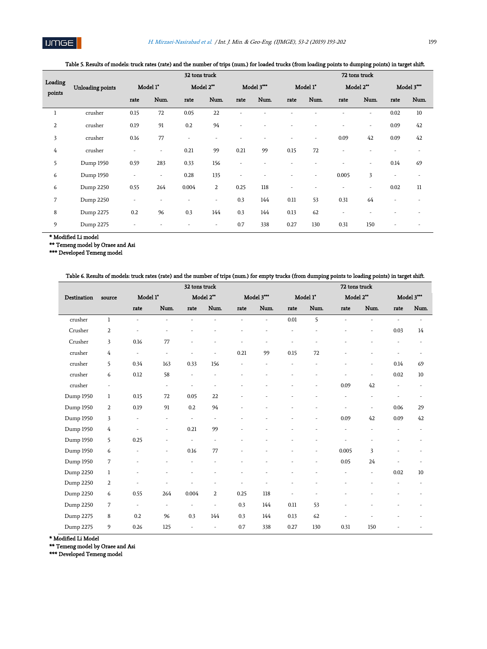|                |                         |                          | 32 tons truck |       |                          |      |            |      |          | 72 tons truck |                |                          |                          |  |  |
|----------------|-------------------------|--------------------------|---------------|-------|--------------------------|------|------------|------|----------|---------------|----------------|--------------------------|--------------------------|--|--|
| Loading        | <b>Unloading points</b> |                          | Model 1*      |       | Model 2**                |      | Model 3*** |      | Model 1* |               | Model 2**      |                          | Model 3***               |  |  |
| points         |                         | rate                     | Num.          | rate  | Num.                     | rate | Num.       | rate | Num.     | rate          | Num.           | rate                     | Num.                     |  |  |
| 1              | crusher                 | 0.15                     | 72            | 0.05  | 22                       |      |            |      |          |               | ٠              | 0.02                     | 10                       |  |  |
| $\overline{2}$ | crusher                 | 0.19                     | 91            | 0.2   | 94                       |      |            |      |          |               | ٠              | 0.09                     | 42                       |  |  |
| 3              | crusher                 | 0.16                     | 77            | ٠     | ٠                        |      | ٠          | ٠    | ۰        | 0.09          | 42             | 0.09                     | 42                       |  |  |
| 4              | crusher                 | ٠                        | ٠             | 0.21  | 99                       | 0.21 | 99         | 0.15 | 72       | ۰             |                | ٠                        | ٠                        |  |  |
| 5              | Dump 1950               | 0.59                     | 283           | 0.33  | 156                      | ٠    | ٠          | ٠    | ٠        |               | ۰              | 0.14                     | 69                       |  |  |
| 6              | Dump 1950               | $\overline{\phantom{a}}$ | ٠             | 0.28  | 135                      | ٠    | ٠          | ٠    | ٠        | 0.005         | $\overline{3}$ | $\overline{\phantom{a}}$ | $\overline{\phantom{a}}$ |  |  |
| 6              | Dump 2250               | 0.55                     | 264           | 0.004 | $\overline{2}$           | 0.25 | 118        | ٠    | ٠        | ٠             | ٠              | 0.02                     | 11                       |  |  |
| 7              | Dump 2250               | ٠                        | ٠             | ۰     | ٠                        | 0.3  | 144        | 0.11 | 53       | 0.31          | 64             | ٠                        | ٠                        |  |  |
| 8              | Dump 2275               | 0.2                      | 96            | 0.3   | 144                      | 0.3  | 144        | 0.13 | 62       | ٠             | ٠              | ٠                        | ٠                        |  |  |
| 9              | Dump 2275               | ٠                        | ٠             |       | $\overline{\phantom{a}}$ | 0.7  | 338        | 0.27 | 130      | 0.31          | 150            | ٠                        |                          |  |  |

\* Modified Li model

\*\* Temeng model by Oraee and Asi

\*\*\* Developed Temeng model

| Table 6. Results of models: truck rates (rate) and the number of trips (num.) for empty trucks (from dumping points to loading points) in target shift. |  |  |  |  |  |  |  |
|---------------------------------------------------------------------------------------------------------------------------------------------------------|--|--|--|--|--|--|--|
|---------------------------------------------------------------------------------------------------------------------------------------------------------|--|--|--|--|--|--|--|

|             |                          |                          |                          | 32 tons truck            |                          |                |            |      |                | 72 tons truck |                          |                |                          |
|-------------|--------------------------|--------------------------|--------------------------|--------------------------|--------------------------|----------------|------------|------|----------------|---------------|--------------------------|----------------|--------------------------|
| Destination | source                   | Model 1*                 |                          |                          | Model 2**                |                | Model 3*** |      | Model 1*       | Model 2**     |                          |                | Model 3***               |
|             |                          | rate                     | Num.                     | rate                     | Num.                     | rate           | Num.       | rate | Num.           | rate          | Num.                     | rate           | Num.                     |
| crusher     | $\mathbf{1}$             | $\overline{a}$           | ä,                       | $\overline{a}$           | $\overline{a}$           | $\overline{a}$ | J.         | 0.01 | 5              | u,            | ä,                       | $\overline{a}$ | $\overline{\phantom{a}}$ |
| Crusher     | $\mathbf 2$              | $\overline{\phantom{a}}$ | ٠                        | $\overline{\phantom{a}}$ |                          | ٠              |            | ٠    | ٠              |               | ä,                       | 0.03           | 14                       |
| Crusher     | 3                        | 0.16                     | 77                       | ٠                        |                          |                | ٠          | ٠    | ÷,             |               | ٠                        | ٠              | ٠                        |
| crusher     | 4                        | $\overline{\phantom{a}}$ | J.                       | $\overline{a}$           |                          | 0.21           | 99         | 0.15 | 72             |               |                          |                | ٠                        |
| crusher     | 5                        | 0.34                     | 163                      | 0.33                     | 156                      | ٠              | ٠          | ٠    | ÷,             |               | $\overline{\phantom{a}}$ | 0.14           | 69                       |
| crusher     | 6                        | 0.12                     | 58                       | $\overline{\phantom{a}}$ |                          |                |            |      | ٠              |               | $\overline{\phantom{a}}$ | 0.02           | 10                       |
| crusher     | $\overline{\phantom{a}}$ |                          | ٠                        | ٠                        |                          |                |            |      | ÷,             | 0.09          | 42                       |                | ٠                        |
| Dump 1950   | $\mathbf{1}$             | 0.15                     | 72                       | 0.05                     | 22                       | ٠              |            | ٠    | ٠              | ٠             | $\overline{\phantom{a}}$ | ٠              | $\overline{\phantom{a}}$ |
| Dump 1950   | $\overline{2}$           | 0.19                     | 91                       | 0.2                      | 94                       |                |            |      | ٠              |               | $\overline{\phantom{a}}$ | 0.06           | 29                       |
| Dump 1950   | 3                        | $\overline{a}$           | ä,                       | $\overline{\phantom{a}}$ | $\overline{a}$           |                |            |      | ÷,             | 0.09          | 42                       | 0.09           | 42                       |
| Dump 1950   | 4                        | ä,                       | $\overline{\phantom{a}}$ | 0.21                     | 99                       | J.             |            |      | ÷,             |               | ٠                        |                | $\overline{\phantom{a}}$ |
| Dump 1950   | 5                        | 0.25                     | ۰                        | $\frac{1}{2}$            | $\overline{a}$           |                |            |      | -              |               |                          |                | ٠                        |
| Dump 1950   | 6                        | ٠                        | ٠                        | 0.16                     | 77                       | ٠              |            | J,   | $\overline{a}$ | 0.005         | 3                        |                | $\overline{\phantom{a}}$ |
| Dump 1950   | $\overline{7}$           |                          |                          | ٠                        |                          |                |            |      | ÷,             | 0.05          | 24                       |                | $\overline{a}$           |
| Dump 2250   | $\mathbf{1}$             |                          |                          |                          |                          |                |            |      |                |               | ÷,                       | 0.02           | 10                       |
| Dump 2250   | 2                        | ٠                        | ٠                        | ٠                        | ٠                        | ٠              | ٠          | ٠    | ٠              |               | ٠                        | ٠              | ٠                        |
| Dump 2250   | 6                        | 0.55                     | 264                      | 0.004                    | $\overline{2}$           | 0.25           | 118        | ٠    | ٠              |               |                          |                | ٠                        |
| Dump 2250   | $\overline{7}$           | $\overline{\phantom{a}}$ | J,                       | ä,                       |                          | 0.3            | 144        | 0.11 | 53             |               |                          |                |                          |
| Dump 2275   | 8                        | 0.2                      | 96                       | 0.3                      | 144                      | 0.3            | 144        | 0.13 | 62             |               |                          |                | ٠                        |
| Dump 2275   | 9                        | 0.26                     | 125                      | ٠                        | $\overline{\phantom{a}}$ | 0.7            | 338        | 0.27 | 130            | 0.31          | 150                      |                | ٠                        |

\* Modified Li Model

\*\* Temeng model by Oraee and Asi

\*\*\* Developed Temeng model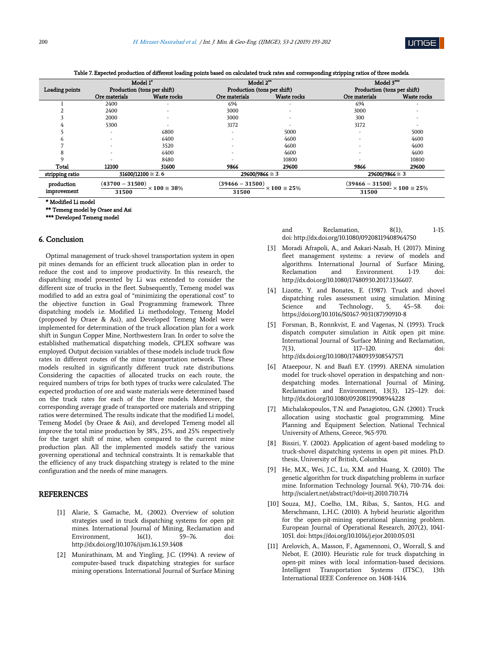

|                           |               | Model 1*                                    | Model 2**                                            |                          | Model 3***                                           |                    |  |
|---------------------------|---------------|---------------------------------------------|------------------------------------------------------|--------------------------|------------------------------------------------------|--------------------|--|
| Loading points            |               | Production (tons per shift)                 | Production (tons per shift)                          |                          | Production (tons per shift)                          |                    |  |
|                           | Ore materials | Waste rocks                                 | Ore materials                                        | <b>Waste rocks</b>       | Ore materials                                        | <b>Waste rocks</b> |  |
|                           | 2400          |                                             | 694                                                  |                          | 694                                                  |                    |  |
|                           | 2400          |                                             | 3000                                                 | $\overline{\phantom{a}}$ | 3000                                                 |                    |  |
|                           | 2000          |                                             | 3000                                                 |                          | 300                                                  |                    |  |
|                           | 5300          |                                             | 3172                                                 |                          | 3172                                                 |                    |  |
|                           |               | 6800                                        |                                                      | 5000                     |                                                      | 5000               |  |
|                           |               | 6400                                        |                                                      | 4600                     |                                                      | 4600               |  |
|                           |               | 3520                                        |                                                      | 4600                     |                                                      | 4600               |  |
|                           |               | 6400                                        |                                                      | 4600                     |                                                      | 4600               |  |
|                           |               | 8480                                        |                                                      | 10800                    |                                                      | 10800              |  |
| Total                     | 12100         | 31600                                       | 9866                                                 | 29600                    | 9866                                                 | 29600              |  |
| stripping ratio           |               | 31600/12100 $\approx$ 2.6                   | $29600/9866 \approx 3$                               |                          | $29600/9866 \approx 3$                               |                    |  |
| production<br>improvement | 31500         | $(43700 - 31500)$ $\times 100 \approx 38\%$ | $(39466 - 31500)$ $\times 100 \approx 25\%$<br>31500 |                          | $(39466 - 31500)$ $\times 100 \approx 25\%$<br>31500 |                    |  |

Table 7. Expected production of different loading points based on calculated truck rates and corresponding stripping ratios of three models.

\* Modified Li model

\*\* Temeng model by Oraee and Asi

\*\*\* Developed Temeng model

#### 6. Conclusion

Optimal management of truck-shovel transportation system in open pit mines demands for an efficient truck allocation plan in order to reduce the cost and to improve productivity. In this research, the dispatching model presented by Li was extended to consider the different size of trucks in the fleet. Subsequently, Temeng model was modified to add an extra goal of "minimizing the operational cost" to the objective function in Goal Programming framework. Three dispatching models i.e. Modified Li methodology, Temeng Model (proposed by Oraee & Asi), and Developed Temeng Model were implemented for determination of the truck allocation plan for a work shift in Sungun Copper Mine, Northwestern Iran. In order to solve the established mathematical dispatching models, CPLEX software was employed. Output decision variables of these models include truck flow rates in different routes of the mine transportation network. These models resulted in significantly different truck rate distributions. Considering the capacities of allocated trucks on each route, the required numbers of trips for both types of trucks were calculated. The expected production of ore and waste materials were determined based on the truck rates for each of the three models. Moreover, the corresponding average grade of transported ore materials and stripping ratios were determined. The results indicate that the modified Li model, Temeng Model (by Oraee & Asi), and developed Temeng model all improve the total mine production by 38%, 25%, and 25% respectively for the target shift of mine, when compared to the current mine production plan. All the implemented models satisfy the various governing operational and technical constraints. It is remarkable that the efficiency of any truck dispatching strategy is related to the mine configuration and the needs of mine managers.

### REFERENCES

- [1] Alarie, S. Gamache, M,. (2002). Overview of solution strategies used in truck dispatching systems for open pit mines. International Journal of Mining, Reclamation and Environment, 16(1), 59–76. doi: http://dx.doi.org/10.1076/ijsm.16.1.59.3408
- [2] Munirathinam, M. and Yingling, J.C. (1994). A review of computer-based truck dispatching strategies for surface mining operations. International Journal of Surface Mining

and Reclamation 8(1) 1-15 doi: http://dx.doi.org/10.1080/09208119408964750

- [3] Moradi Afrapoli, A., and Askari-Nasab, H. (2017). Mining fleet management systems: a review of models and algorithms. International Journal of Surface Mining, Reclamation and Environment. 1-19. doi: http://dx.doi.org/10.1080/17480930.2017.1336607.
- [4] Lizotte, Y. and Bonates, E. (1987). Truck and shovel dispatching rules assessment using simulation. Mining Science and Technology, 5, 45-58. doi: https://doi.org/10.1016/S0167-9031(87)90910-8
- [5] Forsman, B., Ronnkvist, E. and Vagenas, N. (1993). Truck dispatch computer simulation in Aitik open pit mine. International Journal of Surface Mining and Reclamation, 7(3), 117–120. doi: http://dx.doi.org/10.1080/17480939308547571
- [6] Ataeepour, N. and Baafi E.Y. (1999). ARENA simulation model for truck-shovel operation in despatching and nondespatching modes. International Journal of Mining, Reclamation and Environment, 13(3), 125–129. doi: http://dx.doi.org/10.1080/09208119908944228
- [7] Michalakopoulos, T.N. and Panagiotou, G.N. (2001). Truck allocation using stochastic goal programming. Mine Planning and Equipment Selection. National Technical University of Athens, Greece, 965-970.
- [8] Bissiri, Y. (2002). Application of agent-based modeling to truck-shovel dispatching systems in open pit mines. Ph.D. thesis, University of British, Columbia.
- [9] He, M.X., Wei, J.C., Lu, X.M. and Huang, X. (2010). The genetic algorithm for truck dispatching problems in surface mine. Information Technology Journal. 9(4), 710-714. doi: http://scialert.net/abstract/?doi=itj.2010.710.714
- [10] Souza, M.J., Coelho, I.M., Ribas, S., Santos, H.G. and Merschmann, L.H.C. (2010). A hybrid heuristic algorithm for the open-pit-mining operational planning problem. European Journal of Operational Research, 207(2), 1041- 1051. doi: https://doi.org/10.1016/j.ejor.2010.05.031
- [11] Arelovich, A., Masson, F., Agamennoni, O., Worrall, S. and Nebot, E. (2010). Heuristic rule for truck dispatching in open-pit mines with local information-based decisions. Intelligent Transportation Systems (ITSC), 13th International IEEE Conference on. 1408-1414.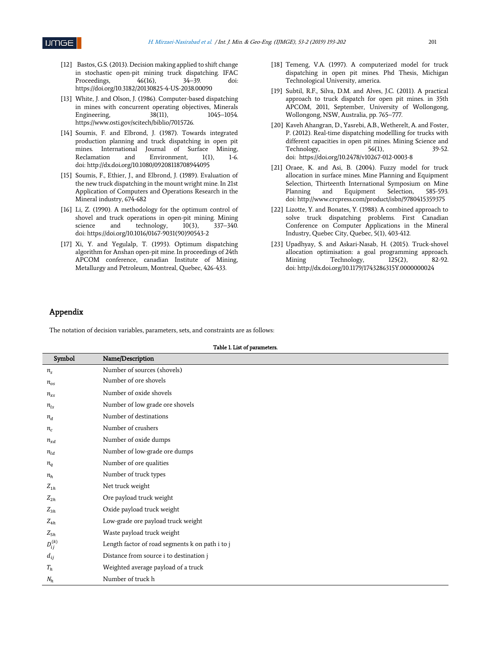- [12] Bastos, G.S. (2013). Decision making applied to shift change in stochastic open-pit mining truck dispatching. IFAC Proceedings, 46(16), 34–39. doi: https://doi.org/10.3182/20130825-4-US-2038.00090
- [13] White, J. and Olson, J. (1986). Computer-based dispatching in mines with concurrent operating objectives, Minerals Engineering, 38(11), 1045–1054. https://www.osti.gov/scitech/biblio/7015726.
- [14] Soumis, F. and Elbrond, J. (1987). Towards integrated production planning and truck dispatching in open pit mines. International Journal of Surface Mining, Reclamation and Environment, 1(1), 1-6. doi: http://dx.doi.org/10.1080/09208118708944095
- [15] Soumis, F., Ethier, J., and Elbrond, J. (1989). Evaluation of the new truck dispatching in the mount wright mine. In 21st Application of Computers and Operations Research in the Mineral industry, 674-682
- [16] Li, Z. (1990). A methodology for the optimum control of shovel and truck operations in open-pit mining. Mining science and technology, 10(3), 337–340. doi: https://doi.org/10.1016/0167-9031(90)90543-2
- [17] Xi, Y. and Yegulalp, T. (1993). Optimum dispatching algorithm for Anshan open-pit mine. In proceedings of 24th APCOM conference, canadian Institute of Mining, Metallurgy and Petroleum, Montreal, Quebec, 426-433.
- [18] Temeng, V.A. (1997). A computerized model for truck dispatching in open pit mines. Phd Thesis, Michigan Technological University, america.
- [19] Subtil, R.F., Silva, D.M. and Alves, J.C. (2011). A practical approach to truck dispatch for open pit mines. in 35th APCOM, 2011, September, University of Wollongong, Wollongong, NSW, Australia, pp. 765–777.
- [20] Kaveh Ahangran, D., Yasrebi, A.B., Wetherelt, A. and Foster, P. (2012). Real-time dispatching modellling for trucks with different capacities in open pit mines. Mining Science and Technology, 56(1), 39-52. doi: https://doi.org/10.2478/v10267-012-0003-8
- [21] Oraee, K. and Asi, B. (2004). Fuzzy model for truck allocation in surface mines. Mine Planning and Equipment Selection, Thirteenth International Symposium on Mine Planning and Equipment Selection, 585-593. doi: http://www.crcpress.com/product/isbn/9780415359375
- [22] Lizotte, Y. and Bonates, Y. (1988). A combined approach to solve truck dispatching problems. First Canadian Conference on Computer Applications in the Mineral Industry, Quebec City, Quebec, 5(1), 403-412.
- [23] Upadhyay, S. and Askari-Nasab, H. (2015). Truck-shovel allocation optimisation: a goal programming approach. Mining Technology, 125(2), 82-92. doi: http://dx.doi.org/10.1179/1743286315Y.0000000024

## Appendix

The notation of decision variables, parameters, sets, and constraints are as follows:

#### Table 1. List of parameters.

| Symbol         | Name/Description                                |
|----------------|-------------------------------------------------|
| $n_{\rm s}$    | Number of sources (shovels)                     |
| $n_{os}$       | Number of ore shovels                           |
| $n_{xs}$       | Number of oxide shovels                         |
| $n_{ls}$       | Number of low grade ore shovels                 |
| $n_d$          | Number of destinations                          |
| $n_c$          | Number of crushers                              |
| $n_{xd}$       | Number of oxide dumps                           |
| $n_{ld}$       | Number of low-grade ore dumps                   |
| $n_q$          | Number of ore qualities                         |
| $n_h$          | Number of truck types                           |
| $Z_{1h}$       | Net truck weight                                |
| $Z_{2h}$       | Ore payload truck weight                        |
| $Z_{3h}$       | Oxide payload truck weight                      |
| $Z_{4h}$       | Low-grade ore payload truck weight              |
| $Z_{5h}$       | Waste payload truck weight                      |
| $D_{ij}^{(k)}$ | Length factor of road segments k on path i to j |
| $d_{ij}$       | Distance from source i to destination j         |
| $T_h$          | Weighted average payload of a truck             |
| $N_h$          | Number of truck h                               |